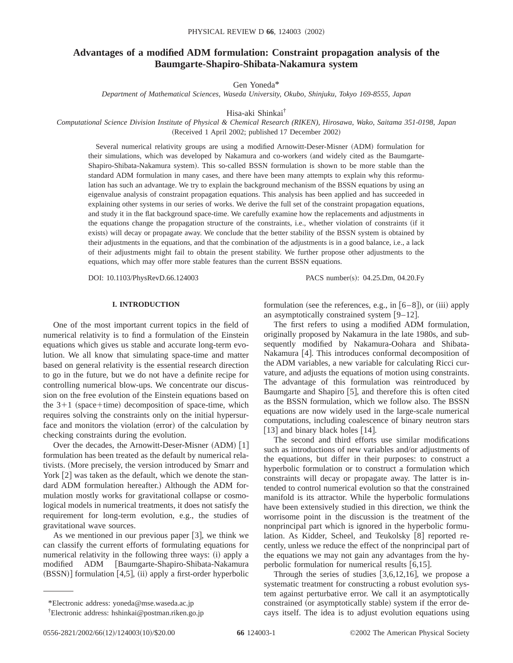# **Advantages of a modified ADM formulation: Constraint propagation analysis of the Baumgarte-Shapiro-Shibata-Nakamura system**

Gen Yoneda\*

*Department of Mathematical Sciences, Waseda University, Okubo, Shinjuku, Tokyo 169-8555, Japan*

Hisa-aki Shinkai†

*Computational Science Division Institute of Physical & Chemical Research (RIKEN), Hirosawa, Wako, Saitama 351-0198, Japan* (Received 1 April 2002; published 17 December 2002)

Several numerical relativity groups are using a modified Arnowitt-Deser-Misner (ADM) formulation for their simulations, which was developed by Nakamura and co-workers (and widely cited as the Baumgarte-Shapiro-Shibata-Nakamura system). This so-called BSSN formulation is shown to be more stable than the standard ADM formulation in many cases, and there have been many attempts to explain why this reformulation has such an advantage. We try to explain the background mechanism of the BSSN equations by using an eigenvalue analysis of constraint propagation equations. This analysis has been applied and has succeeded in explaining other systems in our series of works. We derive the full set of the constraint propagation equations, and study it in the flat background space-time. We carefully examine how the replacements and adjustments in the equations change the propagation structure of the constraints, i.e., whether violation of constraints (if it exists) will decay or propagate away. We conclude that the better stability of the BSSN system is obtained by their adjustments in the equations, and that the combination of the adjustments is in a good balance, i.e., a lack of their adjustments might fail to obtain the present stability. We further propose other adjustments to the equations, which may offer more stable features than the current BSSN equations.

DOI: 10.1103/PhysRevD.66.124003 PACS number(s): 04.25.Dm, 04.20.Fy

# **I. INTRODUCTION**

One of the most important current topics in the field of numerical relativity is to find a formulation of the Einstein equations which gives us stable and accurate long-term evolution. We all know that simulating space-time and matter based on general relativity is the essential research direction to go in the future, but we do not have a definite recipe for controlling numerical blow-ups. We concentrate our discussion on the free evolution of the Einstein equations based on the  $3+1$  (space+time) decomposition of space-time, which requires solving the constraints only on the initial hypersurface and monitors the violation (error) of the calculation by checking constraints during the evolution.

Over the decades, the Arnowitt-Deser-Misner  $(ADM)$  [1] formulation has been treated as the default by numerical relativists. (More precisely, the version introduced by Smarr and York  $[2]$  was taken as the default, which we denote the standard ADM formulation hereafter.) Although the ADM formulation mostly works for gravitational collapse or cosmological models in numerical treatments, it does not satisfy the requirement for long-term evolution, e.g., the studies of gravitational wave sources.

As we mentioned in our previous paper  $\lceil 3 \rceil$ , we think we can classify the current efforts of formulating equations for numerical relativity in the following three ways: (i) apply a modified ADM [Baumgarte-Shapiro-Shibata-Nakamura  $(BSSN)$  formulation [4,5], (ii) apply a first-order hyperbolic formulation (see the references, e.g., in  $[6–8]$ ), or (iii) apply an asymptotically constrained system  $[9-12]$ .

The first refers to using a modified ADM formulation, originally proposed by Nakamura in the late 1980s, and subsequently modified by Nakamura-Oohara and Shibata-Nakamura [4]. This introduces conformal decomposition of the ADM variables, a new variable for calculating Ricci curvature, and adjusts the equations of motion using constraints. The advantage of this formulation was reintroduced by Baumgarte and Shapiro  $[5]$ , and therefore this is often cited as the BSSN formulation, which we follow also. The BSSN equations are now widely used in the large-scale numerical computations, including coalescence of binary neutron stars  $\lceil 13 \rceil$  and binary black holes  $\lceil 14 \rceil$ .

The second and third efforts use similar modifications such as introductions of new variables and/or adjustments of the equations, but differ in their purposes: to construct a hyperbolic formulation or to construct a formulation which constraints will decay or propagate away. The latter is intended to control numerical evolution so that the constrained manifold is its attractor. While the hyperbolic formulations have been extensively studied in this direction, we think the worrisome point in the discussion is the treatment of the nonprincipal part which is ignored in the hyperbolic formulation. As Kidder, Scheel, and Teukolsky  $[8]$  reported recently, unless we reduce the effect of the nonprincipal part of the equations we may not gain any advantages from the hyperbolic formulation for numerical results  $[6,15]$ .

Through the series of studies  $[3,6,12,16]$ , we propose a systematic treatment for constructing a robust evolution system against perturbative error. We call it an asymptotically constrained (or asymptotically stable) system if the error decays itself. The idea is to adjust evolution equations using

<sup>\*</sup>Electronic address: yoneda@mse.waseda.ac.jp

<sup>†</sup> Electronic address: hshinkai@postman.riken.go.jp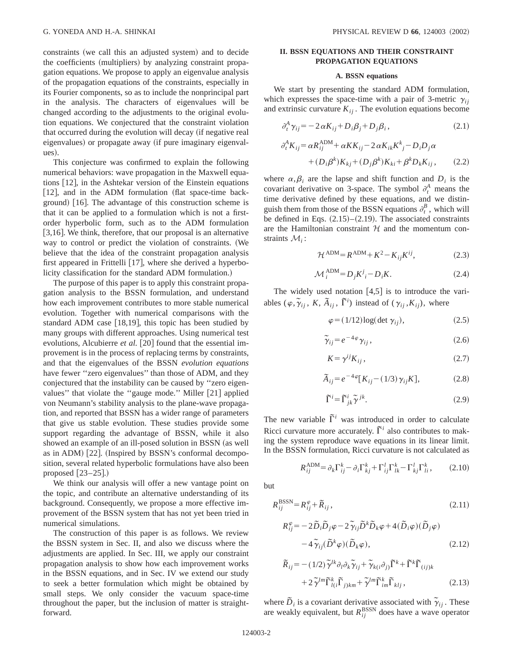constraints (we call this an adjusted system) and to decide the coefficients (multipliers) by analyzing constraint propagation equations. We propose to apply an eigenvalue analysis of the propagation equations of the constraints, especially in its Fourier components, so as to include the nonprincipal part in the analysis. The characters of eigenvalues will be changed according to the adjustments to the original evolution equations. We conjectured that the constraint violation that occurred during the evolution will decay (if negative real eigenvalues) or propagate away (if pure imaginary eigenvalues).

This conjecture was confirmed to explain the following numerical behaviors: wave propagation in the Maxwell equations  $[12]$ , in the Ashtekar version of the Einstein equations  $[12]$ , and in the ADM formulation (flat space-time background)  $[16]$ . The advantage of this construction scheme is that it can be applied to a formulation which is not a firstorder hyperbolic form, such as to the ADM formulation  $[3,16]$ . We think, therefore, that our proposal is an alternative way to control or predict the violation of constraints. (We believe that the idea of the constraint propagation analysis first appeared in Frittelli  $[17]$ , where she derived a hyperbolicity classification for the standard ADM formulation.)

The purpose of this paper is to apply this constraint propagation analysis to the BSSN formulation, and understand how each improvement contributes to more stable numerical evolution. Together with numerical comparisons with the standard ADM case  $[18,19]$ , this topic has been studied by many groups with different approaches. Using numerical test evolutions, Alcubierre *et al.* [20] found that the essential improvement is in the process of replacing terms by constraints, and that the eigenvalues of the BSSN *evolution equations* have fewer "zero eigenvalues" than those of ADM, and they conjectured that the instability can be caused by ''zero eigenvalues" that violate the "gauge mode." Miller [21] applied von Neumann's stability analysis to the plane-wave propagation, and reported that BSSN has a wider range of parameters that give us stable evolution. These studies provide some support regarding the advantage of BSSN, while it also showed an example of an ill-posed solution in BSSN (as well as in ADM)  $[22]$ . (Inspired by BSSN's conformal decomposition, several related hyperbolic formulations have also been proposed  $[23-25]$ .)

We think our analysis will offer a new vantage point on the topic, and contribute an alternative understanding of its background. Consequently, we propose a more effective improvement of the BSSN system that has not yet been tried in numerical simulations.

The construction of this paper is as follows. We review the BSSN system in Sec. II, and also we discuss where the adjustments are applied. In Sec. III, we apply our constraint propagation analysis to show how each improvement works in the BSSN equations, and in Sec. IV we extend our study to seek a better formulation which might be obtained by small steps. We only consider the vacuum space-time throughout the paper, but the inclusion of matter is straightforward.

# **II. BSSN EQUATIONS AND THEIR CONSTRAINT PROPAGATION EQUATIONS**

#### **A. BSSN equations**

We start by presenting the standard ADM formulation, which expresses the space-time with a pair of 3-metric  $\gamma_{ii}$ and extrinsic curvature  $K_{ij}$ . The evolution equations become

$$
\partial_t^A \gamma_{ij} = -2 \alpha K_{ij} + D_i \beta_j + D_j \beta_i, \qquad (2.1)
$$

$$
\partial_t^A K_{ij} = \alpha R_{ij}^{\text{ADM}} + \alpha K K_{ij} - 2 \alpha K_{ik} K^k_j - D_i D_j \alpha
$$
  
+ 
$$
(D_i \beta^k) K_{kj} + (D_j \beta^k) K_{ki} + \beta^k D_k K_{ij}, \qquad (2.2)
$$

where  $\alpha, \beta_i$  are the lapse and shift function and  $D_i$  is the covariant derivative on 3-space. The symbol  $\partial_t^A$  means the time derivative defined by these equations, and we distinguish them from those of the BSSN equations  $\partial_t^B$ , which will be defined in Eqs.  $(2.15)$ – $(2.19)$ . The associated constraints are the Hamiltonian constraint  $H$  and the momentum constraints M*<sup>i</sup>* :

$$
\mathcal{H}^{\text{ADM}} = R^{\text{ADM}} + K^2 - K_{ij} K^{ij},\tag{2.3}
$$

$$
\mathcal{M}_i^{\text{ADM}} = D_j K^j_i - D_i K. \tag{2.4}
$$

The widely used notation  $[4,5]$  is to introduce the variables  $(\varphi, \widetilde{\gamma}_{ij}, K, \widetilde{A}_{ij}, \widetilde{\Gamma}^i)$  instead of  $(\gamma_{ij}, K_{ij})$ , where

$$
\varphi = (1/12) \log(\det \gamma_{ij}), \qquad (2.5)
$$

$$
\tilde{\gamma}_{ij} = e^{-4\varphi} \gamma_{ij}, \qquad (2.6)
$$

$$
K = \gamma^{ij} K_{ij}, \qquad (2.7)
$$

$$
\tilde{A}_{ij} = e^{-4\varphi} [K_{ij} - (1/3) \gamma_{ij} K], \qquad (2.8)
$$

$$
\tilde{\Gamma}^i = \tilde{\Gamma}^i_{jk} \tilde{\gamma}^{jk}.
$$
 (2.9)

The new variable  $\tilde{\Gamma}^i$  was introduced in order to calculate Ricci curvature more accurately.  $\tilde{\Gamma}^i$  also contributes to making the system reproduce wave equations in its linear limit. In the BSSN formulation, Ricci curvature is not calculated as

$$
R_{ij}^{\text{ADM}} = \partial_k \Gamma_{ij}^k - \partial_i \Gamma_{kj}^k + \Gamma_{ij}^l \Gamma_{lk}^k - \Gamma_{kj}^l \Gamma_{li}^k, \qquad (2.10)
$$

but

$$
R_{ij}^{\text{BSSN}} = R_{ij}^{\varphi} + \tilde{R}_{ij},\tag{2.11}
$$

$$
R_{ij}^{\varphi} = -2\tilde{D}_i \tilde{D}_j \varphi - 2\tilde{\gamma}_{ij} \tilde{D}^k \tilde{D}_k \varphi + 4(\tilde{D}_i \varphi)(\tilde{D}_j \varphi) -4\tilde{\gamma}_{ij} (\tilde{D}^k \varphi)(\tilde{D}_k \varphi),
$$
\n(2.12)

$$
\widetilde{R}_{ij} = -(1/2) \widetilde{\gamma}^{lk} \partial_l \partial_k \widetilde{\gamma}_{ij} + \widetilde{\gamma}_{k(i} \partial_j) \widetilde{\Gamma}^k + \widetilde{\Gamma}^k \widetilde{\Gamma}_{(ij)k} \n+ 2 \widetilde{\gamma}^{lm} \widetilde{\Gamma}_{l(i}^k \widetilde{\Gamma}_{j)km} + \widetilde{\gamma}^{lm} \widetilde{\Gamma}_{im}^k \widetilde{\Gamma}_{klj},
$$
\n(2.13)

where  $\tilde{D}_i$  is a covariant derivative associated with  $\tilde{\gamma}_{ij}$ . These are weakly equivalent, but  $R_{ij}^{\text{BSSN}}$  does have a wave operator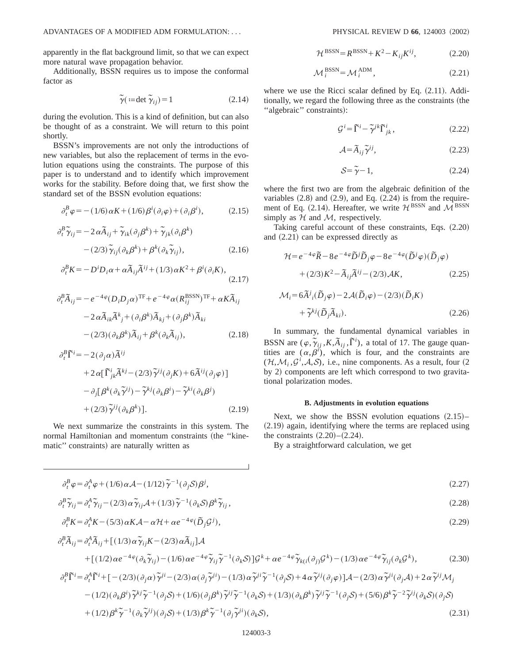apparently in the flat background limit, so that we can expect more natural wave propagation behavior.

Additionally, BSSN requires us to impose the conformal factor as

$$
\widetilde{\gamma}(\mathrel{\mathop:}=\det\widetilde{\gamma}_{ij})=1\tag{2.14}
$$

during the evolution. This is a kind of definition, but can also be thought of as a constraint. We will return to this point shortly.

BSSN's improvements are not only the introductions of new variables, but also the replacement of terms in the evolution equations using the constraints. The purpose of this paper is to understand and to identify which improvement works for the stability. Before doing that, we first show the standard set of the BSSN evolution equations:

$$
\partial_t^B \varphi = -(1/6) \alpha K + (1/6) \beta^i (\partial_i \varphi) + (\partial_i \beta^i), \qquad (2.15)
$$

$$
\partial_t^B \widetilde{\gamma}_{ij} = -2 \alpha \widetilde{A}_{ij} + \widetilde{\gamma}_{ik} (\partial_j \beta^k) + \widetilde{\gamma}_{jk} (\partial_i \beta^k)
$$

$$
- (2/3) \widetilde{\gamma}_{ij} (\partial_k \beta^k) + \beta^k (\partial_k \widetilde{\gamma}_{ij}), \qquad (2.16)
$$

$$
\partial_t^B K = -D^i D_i \alpha + \alpha \widetilde{A}_{ij} \widetilde{A}^{ij} + (1/3) \alpha K^2 + \beta^i (\partial_i K), \tag{2.17}
$$

$$
\partial_t^B \tilde{A}_{ij} = -e^{-4\varphi} (D_i D_j \alpha)^{\text{TF}} + e^{-4\varphi} \alpha (R_{ij}^{\text{BSSN}})^{\text{TF}} + \alpha K \tilde{A}_{ij}
$$

$$
-2\alpha \tilde{A}_{ik} \tilde{A}_{j}^{k} + (\partial_i \beta^k) \tilde{A}_{kj} + (\partial_j \beta^k) \tilde{A}_{ki}
$$

$$
-(2/3)(\partial_k \beta^k) \tilde{A}_{ij} + \beta^k (\partial_k \tilde{A}_{ij}), \qquad (2.18)
$$

$$
\partial_t^B \tilde{\Gamma}^i = -2(\partial_j \alpha) \tilde{A}^{ij}
$$
  
+2\alpha [\tilde{\Gamma}^i\_{jk} \tilde{A}^{kj} - (2/3) \tilde{\gamma}^{ij} (\partial\_j K) + 6 \tilde{A}^{ij} (\partial\_j \varphi)]  
-\partial\_j [\beta^k (\partial\_k \tilde{\gamma}^{ij}) - \tilde{\gamma}^{kj} (\partial\_k \beta^i) - \tilde{\gamma}^{ki} (\partial\_k \beta^j)  
+(2/3) \tilde{\gamma}^{ij} (\partial\_k \beta^k)]. \qquad (2.19)

We next summarize the constraints in this system. The normal Hamiltonian and momentum constraints (the "kinematic" constraints) are naturally written as

$$
\mathcal{H}^{\text{BSSN}} = R^{\text{BSSN}} + K^2 - K_{ij} K^{ij},\tag{2.20}
$$

$$
\mathcal{M}_i^{\text{BSSN}} = \mathcal{M}_i^{\text{ADM}},\tag{2.21}
$$

where we use the Ricci scalar defined by Eq.  $(2.11)$ . Additionally, we regard the following three as the constraints (the "algebraic" constraints):

$$
\mathcal{G}^i = \tilde{\Gamma}^i - \tilde{\gamma}^{jk} \tilde{\Gamma}^i_{jk},\qquad(2.22)
$$

$$
\mathcal{A} = \tilde{A}_{ij} \tilde{\gamma}^{ij},\tag{2.23}
$$

$$
S = \tilde{\gamma} - 1,\tag{2.24}
$$

where the first two are from the algebraic definition of the variables  $(2.8)$  and  $(2.9)$ , and Eq.  $(2.24)$  is from the requirement of Eq. (2.14). Hereafter, we write  $\mathcal{H}^{\text{BSSN}}$  and  $\mathcal{M}^{\text{BSSN}}$ simply as  $H$  and  $M$ , respectively.

Taking careful account of these constraints, Eqs.  $(2.20)$ and  $(2.21)$  can be expressed directly as

$$
\mathcal{H} = e^{-4\varphi} \tilde{R} - 8e^{-4\varphi} \tilde{D}^j \tilde{D}_j \varphi - 8e^{-4\varphi} (\tilde{D}^j \varphi) (\tilde{D}_j \varphi)
$$

$$
+ (2/3)K^2 - \tilde{A}_{ij} \tilde{A}^{ij} - (2/3)\mathcal{A}K, \qquad (2.25)
$$

$$
\mathcal{M}_i = 6\tilde{A}^j{}_i(\tilde{D}_j\varphi) - 2\mathcal{A}(\tilde{D}_i\varphi) - (2/3)(\tilde{D}_iK) + \tilde{\gamma}^{kj}(\tilde{D}_j\tilde{A}_{ki}).
$$
\n(2.26)

In summary, the fundamental dynamical variables in BSSN are  $(\varphi, \widetilde{\gamma}_{ij}, K, \widetilde{A}_{ij}, \widetilde{\Gamma}^i)$ , a total of 17. The gauge quantities are  $(\alpha, \beta^i)$ , which is four, and the constraints are  $(\mathcal{H}, \mathcal{M}_i, \mathcal{G}^i, \mathcal{A}, \mathcal{S})$ , i.e., nine components. As a result, four (2) by 2) components are left which correspond to two gravitational polarization modes.

#### **B. Adjustments in evolution equations**

Next, we show the BSSN evolution equations  $(2.15)$ –  $(2.19)$  again, identifying where the terms are replaced using the constraints  $(2.20)$ – $(2.24)$ .

By a straightforward calculation, we get

$$
\partial_t^B \varphi = \partial_t^A \varphi + (1/6) \alpha \mathcal{A} - (1/12) \widetilde{\gamma}^{-1} (\partial_j \mathcal{S}) \beta^j,
$$
\n(2.27)

$$
\partial_t^B \widetilde{\gamma}_{ij} = \partial_t^A \widetilde{\gamma}_{ij} - (2/3) \alpha \widetilde{\gamma}_{ij} A + (1/3) \widetilde{\gamma}^{-1} (\partial_k S) \beta^k \widetilde{\gamma}_{ij}, \qquad (2.28)
$$

$$
\partial_t^B K = \partial_t^A K - (5/3) \alpha K \mathcal{A} - \alpha \mathcal{H} + \alpha e^{-4\varphi} (\tilde{D}_j \mathcal{G}^j),
$$
  
\n
$$
\partial_t^B \tilde{A}_{ij} = \partial_t^A \tilde{A}_{ij} + [(1/3) \alpha \tilde{\gamma}_{ij} K - (2/3) \alpha \tilde{A}_{ij}] \mathcal{A}
$$
\n(2.29)

+
$$
[ (1/2) \alpha e^{-4\varphi} (\partial_k \tilde{\gamma}_{ij}) - (1/6) \alpha e^{-4\varphi} \tilde{\gamma}_{ij} \tilde{\gamma}^{-1} (\partial_k S) ] \mathcal{G}^k + \alpha e^{-4\varphi} \tilde{\gamma}_{ki} (\partial_{ij} \mathcal{G}^k) - (1/3) \alpha e^{-4\varphi} \tilde{\gamma}_{ij} (\partial_k \mathcal{G}^k),
$$
\n
$$
(\partial_i^B \tilde{\Gamma}^i = \partial_i^A \tilde{\Gamma}^i + [- (2/3) (\partial_j \alpha) \tilde{\gamma}^{ji} - (2/3) \alpha (\partial_j \tilde{\gamma}^{ji}) - (1/3) \alpha \tilde{\gamma}^{ji} \tilde{\gamma}^{-1} (\partial_j S) + 4 \alpha \tilde{\gamma}^{ij} (\partial_j \varphi) ] \mathcal{A} - (2/3) \alpha \tilde{\gamma}^{ji} (\partial_j \mathcal{A}) + 2 \alpha \tilde{\gamma}^{ij} \mathcal{M}_j
$$
\n
$$
- (1/2) (\partial_k \beta^i) \tilde{\gamma}^{kj} \tilde{\gamma}^{-1} (\partial_j S) + (1/6) (\partial_j \beta^k) \tilde{\gamma}^{ij} \tilde{\gamma}^{-1} (\partial_k S) + (1/3) (\partial_k \beta^k) \tilde{\gamma}^{ij} \tilde{\gamma}^{-1} (\partial_j S) + (5/6) \beta^k \tilde{\gamma}^{-2} \tilde{\gamma}^{ij} (\partial_k S) (\partial_j S)
$$
\n
$$
+ (1/2) \beta^k \tilde{\gamma}^{-1} (\partial_k \tilde{\gamma}^{ij}) (\partial_j S) + (1/3) \beta^k \tilde{\gamma}^{-1} (\partial_j \tilde{\gamma}^{ji}) (\partial_k S),
$$
\n(2.31)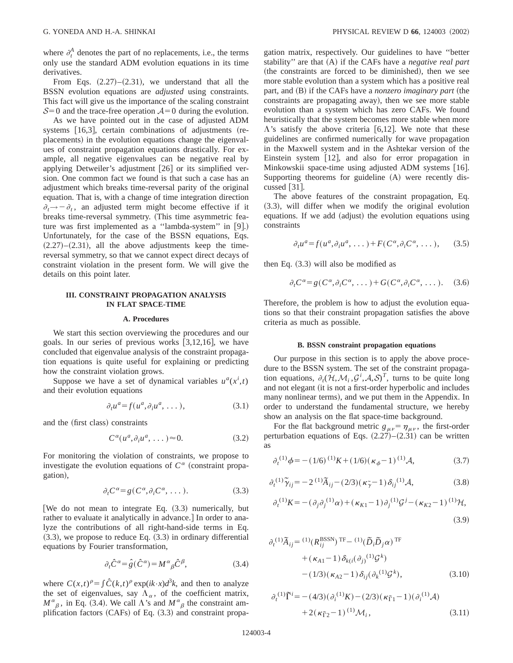where  $\partial_t^A$  denotes the part of no replacements, i.e., the terms only use the standard ADM evolution equations in its time derivatives.

From Eqs.  $(2.27)$ – $(2.31)$ , we understand that all the BSSN evolution equations are *adjusted* using constraints. This fact will give us the importance of the scaling constraint  $S=0$  and the trace-free operation  $A=0$  during the evolution.

As we have pointed out in the case of adjusted ADM systems  $[16,3]$ , certain combinations of adjustments (replacements) in the evolution equations change the eigenvalues of constraint propagation equations drastically. For example, all negative eigenvalues can be negative real by applying Detweiler's adjustment  $[26]$  or its simplified version. One common fact we found is that such a case has an adjustment which breaks time-reversal parity of the original equation. That is, with a change of time integration direction  $\partial_t \rightarrow -\partial_t$ , an adjusted term might become effective if it breaks time-reversal symmetry. (This time asymmetric feature was first implemented as a "lambda-system" in  $[9]$ .) Unfortunately, for the case of the BSSN equations, Eqs.  $(2.27)$ – $(2.31)$ , all the above adjustments keep the timereversal symmetry, so that we cannot expect direct decays of constraint violation in the present form. We will give the details on this point later.

### **III. CONSTRAINT PROPAGATION ANALYSIS IN FLAT SPACE-TIME**

#### **A. Procedures**

We start this section overviewing the procedures and our goals. In our series of previous works  $[3,12,16]$ , we have concluded that eigenvalue analysis of the constraint propagation equations is quite useful for explaining or predicting how the constraint violation grows.

Suppose we have a set of dynamical variables  $u^a(x^i, t)$ and their evolution equations

$$
\partial_t u^a = f(u^a, \partial_i u^a, \dots), \tag{3.1}
$$

and the (first class) constraints

$$
C^{\alpha}(u^a, \partial_i u^a, \dots) \approx 0. \tag{3.2}
$$

For monitoring the violation of constraints, we propose to investigate the evolution equations of  $C^{\alpha}$  (constraint propagation),

$$
\partial_t C^{\alpha} = g(C^{\alpha}, \partial_i C^{\alpha}, \dots). \tag{3.3}
$$

[We do not mean to integrate Eq.  $(3.3)$  numerically, but rather to evaluate it analytically in advance.] In order to analyze the contributions of all right-hand-side terms in Eq.  $(3.3)$ , we propose to reduce Eq.  $(3.3)$  in ordinary differential equations by Fourier transformation,

$$
\partial_t \hat{C}^{\alpha} = \hat{g}(\hat{C}^{\alpha}) = M^{\alpha}{}_{\beta} \hat{C}^{\beta},\tag{3.4}
$$

where  $C(x,t)^p = \int \hat{C}(k,t)^p \exp(ik \cdot x) d^3k$ , and then to analyze the set of eigenvalues, say  $\Lambda_{\alpha}$ , of the coefficient matrix,  $M^{\alpha}{}_{\beta}$ , in Eq. (3.4). We call  $\Lambda$ 's and  $M^{\alpha}{}_{\beta}$  the constraint amplification factors  $(CAFs)$  of Eq.  $(3.3)$  and constraint propagation matrix, respectively. Our guidelines to have ''better stability" are that (A) if the CAFs have a *negative real part* (the constraints are forced to be diminished), then we see more stable evolution than a system which has a positive real part, and (B) if the CAFs have a *nonzero imaginary part* (the constraints are propagating away), then we see more stable evolution than a system which has zero CAFs. We found heuristically that the system becomes more stable when more  $\Lambda$ 's satisfy the above criteria [6,12]. We note that these guidelines are confirmed numerically for wave propagation in the Maxwell system and in the Ashtekar version of the Einstein system  $[12]$ , and also for error propagation in Minkowskii space-time using adjusted ADM systems [16]. Supporting theorems for guideline  $(A)$  were recently discussed  $\lceil 31 \rceil$ .

The above features of the constraint propagation, Eq.  $(3.3)$ , will differ when we modify the original evolution equations. If we add (adjust) the evolution equations using constraints

$$
\partial_t u^a = f(u^a, \partial_i u^a, \dots) + F(C^{\alpha}, \partial_i C^{\alpha}, \dots), \quad (3.5)
$$

then Eq.  $(3.3)$  will also be modified as

$$
\partial_t C^{\alpha} = g(C^{\alpha}, \partial_i C^{\alpha}, \dots) + G(C^{\alpha}, \partial_i C^{\alpha}, \dots). \quad (3.6)
$$

Therefore, the problem is how to adjust the evolution equations so that their constraint propagation satisfies the above criteria as much as possible.

#### **B. BSSN constraint propagation equations**

Our purpose in this section is to apply the above procedure to the BSSN system. The set of the constraint propagation equations,  $\partial_t (\mathcal{H}, \mathcal{M}_i, \mathcal{G}^i, \mathcal{A}, \mathcal{S})^T$ , turns to be quite long and not elegant (it is not a first-order hyperbolic and includes many nonlinear terms), and we put them in the Appendix. In order to understand the fundamental structure, we hereby show an analysis on the flat space-time background.

For the flat background metric  $g_{\mu\nu} = \eta_{\mu\nu}$ , the first-order perturbation equations of Eqs.  $(2.27)$ – $(2.31)$  can be written as

$$
\partial_t^{(1)} \phi = -(1/6)^{(1)} K + (1/6) (\kappa_\phi - 1)^{(1)} \mathcal{A}, \tag{3.7}
$$

$$
\partial_t^{(1)} \tilde{\gamma}_{ij} = -2^{(1)} \tilde{A}_{ij} - (2/3) (\kappa_{\tilde{\gamma}} - 1) \delta_{ij}^{(1)} \mathcal{A}, \tag{3.8}
$$

$$
\partial_t^{(1)} K = -(\partial_j \partial_j^{(1)} \alpha) + (\kappa_{K1} - 1) \partial_j^{(1)} \mathcal{G}^j - (\kappa_{K2} - 1)^{(1)} \mathcal{H},
$$
\n(3.9)

$$
\partial_t^{(1)} \tilde{A}_{ij} = {}^{(1)}(R_{ij}^{BSSN})^{\text{TF}} - {}^{(1)}(\tilde{D}_i \tilde{D}_j \alpha)^{\text{TF}} \n+ (\kappa_{A1} - 1) \delta_{k(i} (\partial_j)^{(1)} \mathcal{G}^k) \n- (1/3) (\kappa_{A2} - 1) \delta_{ij} (\partial_k^{(1)} \mathcal{G}^k),
$$
\n(3.10)

$$
\partial_t^{(1)} \tilde{\Gamma}^i = -(4/3)(\partial_i^{(1)} K) - (2/3)(\kappa_{\tilde{\Gamma}1} - 1)(\partial_i^{(1)} A) + 2(\kappa_{\tilde{\Gamma}2} - 1)^{(1)} \mathcal{M}_i,
$$
\n(3.11)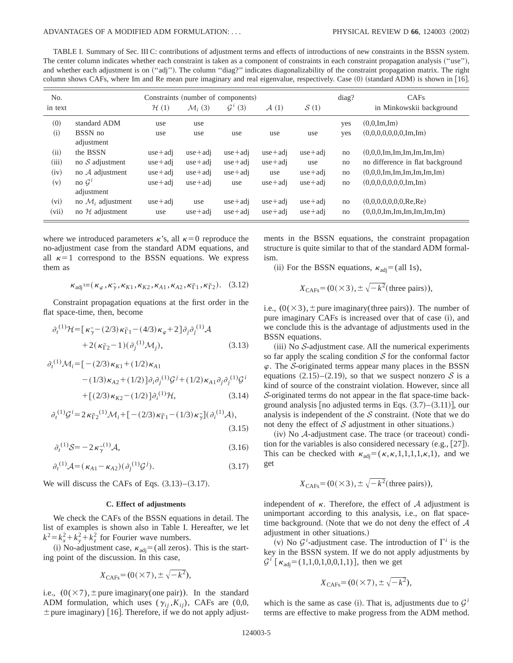TABLE I. Summary of Sec. III C: contributions of adjustment terms and effects of introductions of new constraints in the BSSN system. The center column indicates whether each constraint is taken as a component of constraints in each constraint propagation analysis ("use"), and whether each adjustment is on ("adj"). The column "diag?" indicates diagonalizability of the constraint propagation matrix. The right column shows CAFs, where Im and Re mean pure imaginary and real eigenvalue, respectively. Case (0) (standard ADM) is shown in [16].

| No.     |                               | Constraints (number of components) |                     |                     |                  |                  | diag? | CAF <sub>s</sub>                                                      |
|---------|-------------------------------|------------------------------------|---------------------|---------------------|------------------|------------------|-------|-----------------------------------------------------------------------|
| in text |                               | H(1)                               | $\mathcal{M}_i$ (3) | $\mathcal{G}^i$ (3) | $\mathcal{A}(1)$ | $\mathcal{S}(1)$ |       | in Minkowskii background                                              |
| (0)     | standard ADM                  | use                                | use                 |                     |                  |                  | yes   | (0,0,Im,Im)                                                           |
| (i)     | BSSN no<br>adjustment         | use                                | use                 | use                 | use              | use              | yes   | $(0,0,0,0,0,0,0,\text{Im},\text{Im})$                                 |
| (ii)    | the BSSN                      | $use + adi$                        | $use + adi$         | $use + adi$         | $use + adi$      | $use + adi$      | no    | $(0,0,0,\text{Im},\text{Im},\text{Im},\text{Im},\text{Im},\text{Im})$ |
| (iii)   | no $S$ adjustment             | $use + adi$                        | $use + adi$         | $use + adi$         | $use + adi$      | use              | no    | no difference in flat background                                      |
| (iv)    | no $A$ adjustment             | $use + adi$                        | $use + adi$         | $use + adi$         | use              | $use + adi$      | no    | $(0,0,0,\text{Im},\text{Im},\text{Im},\text{Im},\text{Im},\text{Im})$ |
| (v)     | no $G^i$<br>adjustment        | $use + adi$                        | $use + adi$         | use                 | $use + adi$      | $use + adi$      | no    | $(0,0,0,0,0,0,0,\text{Im},\text{Im})$                                 |
| (vi)    | no $\mathcal{M}_i$ adjustment | $use + adi$                        | use                 | $use + adi$         | $use + adi$      | $use + adi$      | no    | (0,0,0,0,0,0,0,Re,Re)                                                 |
| (vii)   | no $H$ adjustment             | use                                | $use + adi$         | $use + adi$         | $use + adi$      | $use + adi$      | no    | $(0,0,0,\text{Im},\text{Im},\text{Im},\text{Im},\text{Im},\text{Im})$ |

where we introduced parameters  $\kappa$ 's, all  $\kappa=0$  reproduce the no-adjustment case from the standard ADM equations, and all  $\kappa=1$  correspond to the BSSN equations. We express them as

$$
\kappa_{\text{adj}} := (\kappa_{\varphi}, \kappa_{\widetilde{\gamma}}, \kappa_{K1}, \kappa_{K2}, \kappa_{A1}, \kappa_{A2}, \kappa_{\widetilde{\Gamma}1}, \kappa_{\widetilde{\Gamma}2}).
$$
 (3.12)

Constraint propagation equations at the first order in the flat space-time, then, become

$$
\partial_t^{(1)} \mathcal{H} = \left[ \kappa_{\gamma}^{\sim} - (2/3) \kappa_{\tilde{\Gamma}1} - (4/3) \kappa_{\varphi} + 2 \right] \partial_j \partial_j^{(1)} \mathcal{A} + 2(\kappa_{\tilde{\Gamma}2} - 1) (\partial_j^{(1)} \mathcal{M}_j),
$$
(3.13)

$$
\partial_t^{(1)} \mathcal{M}_i = \left[ -(2/3) \kappa_{K1} + (1/2) \kappa_{A1} \right. \n- (1/3) \kappa_{A2} + (1/2) \left[ \partial_i \partial_j^{(1)} \mathcal{G}^j + (1/2) \kappa_{A1} \partial_j \partial_j^{(1)} \mathcal{G}^i \right. \n+ \left[ (2/3) \kappa_{K2} - (1/2) \right] \partial_i^{(1)} \mathcal{H},
$$
\n(3.14)

$$
\partial_t^{(1)} \mathcal{G}^i = 2\kappa_{\tilde{\Gamma}2}^{(1)} \mathcal{M}_i + [-(2/3)\kappa_{\tilde{\Gamma}1} - (1/3)\kappa_{\tilde{\gamma}}](\partial_i^{(1)} \mathcal{A}),
$$
\n(3.15)

$$
\partial_t^{(1)} \mathcal{S} = -2\kappa_{\gamma}^{(1)} \mathcal{A},\tag{3.16}
$$

$$
\partial_t^{(1)} \mathcal{A} = (\kappa_{A1} - \kappa_{A2}) (\partial_j^{(1)} \mathcal{G}^j). \tag{3.17}
$$

We will discuss the CAFs of Eqs.  $(3.13)$ – $(3.17)$ .

#### **C. Effect of adjustments**

We check the CAFs of the BSSN equations in detail. The list of examples is shown also in Table I. Hereafter, we let  $k^2 = k_x^2 + k_y^2 + k_z^2$  for Fourier wave numbers.

(i) No-adjustment case,  $\kappa_{\text{adj}} =$  (all zeros). This is the starting point of the discussion. In this case,

$$
X_{\rm CAFs} = (0(\times 7), \pm \sqrt{-k^2}),
$$

i.e.,  $(0(\times 7), \pm$  pure imaginary(one pair)). In the standard ADM formulation, which uses  $(\gamma_{ii}, K_{ii})$ , CAFs are (0,0,  $\pm$  pure imaginary) [16]. Therefore, if we do not apply adjustments in the BSSN equations, the constraint propagation structure is quite similar to that of the standard ADM formalism.

(ii) For the BSSN equations,  $\kappa_{\text{adj}}$  = (all 1s),

$$
X_{\text{CAFs}} = (0(\times 3), \pm \sqrt{-k^2} \text{(three pairs)}),
$$

i.e.,  $(0 \times 3)$ ,  $\pm$  pure imaginary(three pairs)). The number of pure imaginary CAFs is increased over that of case (i), and we conclude this is the advantage of adjustments used in the BSSN equations.

 $(iii)$  No S-adjustment case. All the numerical experiments so far apply the scaling condition  $S$  for the conformal factor  $\varphi$ . The S-originated terms appear many places in the BSSN equations  $(2.15)$ – $(2.19)$ , so that we suspect nonzero S is a kind of source of the constraint violation. However, since all S-originated terms do not appear in the flat space-time background analysis [no adjusted terms in Eqs.  $(3.7)–(3.11)$ ], our analysis is independent of the  $S$  constraint. (Note that we do not deny the effect of  $S$  adjustment in other situations.)

 $(iv)$  No  $A$ -adjustment case. The trace (or traceout) condition for the variables is also considered necessary  $(e.g., [27])$ . This can be checked with  $\kappa_{\text{adj}} = (\kappa, \kappa, 1, 1, 1, 1, \kappa, 1)$ , and we get

$$
X_{\text{CAFs}} = (0(\times 3), \pm \sqrt{-k^2} \text{ (three pairs)}),
$$

independent of  $\kappa$ . Therefore, the effect of A adjustment is unimportant according to this analysis, i.e., on flat spacetime background. (Note that we do not deny the effect of  $A$ adjustment in other situations.)

(v) No  $\mathcal{G}^i$ -adjustment case. The introduction of  $\Gamma^i$  is the key in the BSSN system. If we do not apply adjustments by  $\mathcal{G}^i$  [ $\kappa_{\text{adi}}$ =(1,1,0,1,0,0,1,1)], then we get

$$
X_{\rm CAFs} = (0(\times 7), \pm \sqrt{-k^2}),
$$

which is the same as case (i). That is, adjustments due to  $\mathcal{G}^i$ terms are effective to make progress from the ADM method.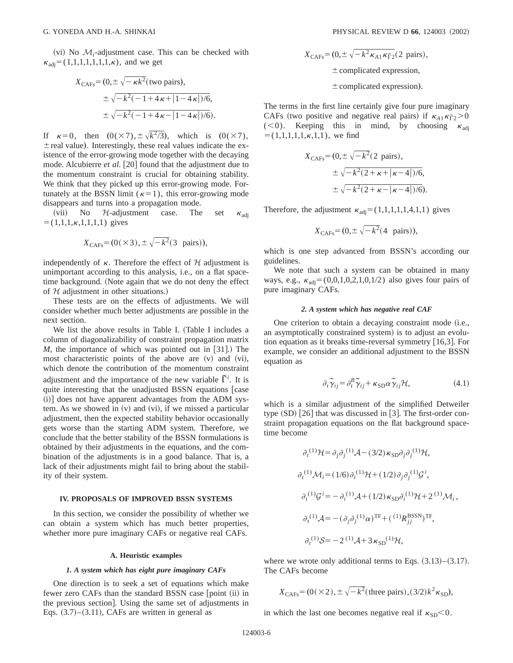$(vi)$  No  $M_i$ -adjustment case. This can be checked with  $\kappa_{\text{adi}}=(1,1,1,1,1,1,1,\kappa)$ , and we get

$$
X_{\text{CAFs}} = (0, \pm \sqrt{-\kappa k^2} \text{ (two pairs)},
$$
  

$$
\pm \sqrt{-k^2(-1 + 4\kappa + |1 - 4\kappa|)/6},
$$
  

$$
\pm \sqrt{-k^2(-1 + 4\kappa - |1 - 4\kappa|)/6}.
$$

If  $\kappa=0$ , then  $(0(\times 7), \pm \sqrt{k^2/3})$ , which is  $(0(\times 7),$  $\pm$  real value). Interestingly, these real values indicate the existence of the error-growing mode together with the decaying mode. Alcubierre et al. [20] found that the adjustment due to the momentum constraint is crucial for obtaining stability. We think that they picked up this error-growing mode. Fortunately at the BSSN limit ( $\kappa=1$ ), this error-growing mode disappears and turns into a propagation mode.

(vii) No  $H$ -adjustment case. The set  $\kappa_{\text{adi}}$  $= (1,1,1,\kappa,1,1,1,1)$  gives

$$
X_{\text{CAFs}} = (0(\times 3), \pm \sqrt{-k^2} (3 \text{ pairs})),
$$

independently of  $\kappa$ . Therefore the effect of  $\mathcal H$  adjustment is unimportant according to this analysis, i.e., on a flat spacetime background. (Note again that we do not deny the effect of  $H$  adjustment in other situations.)

These tests are on the effects of adjustments. We will consider whether much better adjustments are possible in the next section.

We list the above results in Table I. (Table I includes a column of diagonalizability of constraint propagation matrix  $M$ , the importance of which was pointed out in [31]. The most characteristic points of the above are  $(v)$  and  $(vi)$ , which denote the contribution of the momentum constraint adjustment and the importance of the new variable  $\tilde{\Gamma}^i$ . It is quite interesting that the unadjusted BSSN equations [case  $(i)$ ] does not have apparent advantages from the ADM system. As we showed in  $(v)$  and  $(vi)$ , if we missed a particular adjustment, then the expected stability behavior occasionally gets worse than the starting ADM system. Therefore, we conclude that the better stability of the BSSN formulations is obtained by their adjustments in the equations, and the combination of the adjustments is in a good balance. That is, a lack of their adjustments might fail to bring about the stability of their system.

# **IV. PROPOSALS OF IMPROVED BSSN SYSTEMS**

In this section, we consider the possibility of whether we can obtain a system which has much better properties, whether more pure imaginary CAFs or negative real CAFs.

#### **A. Heuristic examples**

## *1. A system which has eight pure imaginary CAFs*

One direction is to seek a set of equations which make fewer zero CAFs than the standard BSSN case [point (ii) in the previous section. Using the same set of adjustments in Eqs.  $(3.7)$ – $(3.11)$ , CAFs are written in general as

$$
X_{\text{CAFs}} = (0, \pm \sqrt{-k^2 \kappa_{A1} \kappa_{\text{F2}}}(2 \text{ pairs}),
$$
  
\n
$$
\pm \text{complicated expression},
$$
  
\n
$$
\pm \text{complicated expression}.
$$

The terms in the first line certainly give four pure imaginary CAFs (two positive and negative real pairs) if  $\kappa_{A1} \kappa_{\overline{1}2} > 0$ (<0). Keeping this in mind, by choosing  $\kappa_{\text{adi}}$  $= (1,1,1,1,1,\kappa,1,1)$ , we find

$$
X_{\text{CAFs}} = (0, \pm \sqrt{-k^2} (2 \text{ pairs}),
$$
  

$$
\pm \sqrt{-k^2 (2 + \kappa + |\kappa - 4|)/6},
$$
  

$$
\pm \sqrt{-k^2 (2 + \kappa - |\kappa - 4|)/6}.
$$

Therefore, the adjustment  $\kappa_{\text{adj}}=(1,1,1,1,1,4,1,1)$  gives

$$
X_{\text{CAFs}} = (0, \pm \sqrt{-k^2}(4 \text{ pairs})),
$$

which is one step advanced from BSSN's according our guidelines.

We note that such a system can be obtained in many ways, e.g.,  $\kappa_{\text{adi}} = (0,0,1,0,2,1,0,1/2)$  also gives four pairs of pure imaginary CAFs.

#### *2. A system which has negative real CAF*

One criterion to obtain a decaying constraint mode (i.e., an asymptotically constrained system) is to adjust an evolution equation as it breaks time-reversal symmetry  $[16,3]$ . For example, we consider an additional adjustment to the BSSN equation as

$$
\partial_t \widetilde{\gamma}_{ij} = \partial_t^B \widetilde{\gamma}_{ij} + \kappa_{SD} \alpha \widetilde{\gamma}_{ij} \mathcal{H}, \qquad (4.1)
$$

which is a similar adjustment of the simplified Detweiler type  $(SD)$   $[26]$  that was discussed in  $[3]$ . The first-order constraint propagation equations on the flat background spacetime become

$$
\partial_t^{(1)} \mathcal{H} = \partial_j \partial_j^{(1)} \mathcal{A} - (3/2) \kappa_{\text{SD}} \partial_j \partial_j^{(1)} \mathcal{H},
$$
  
\n
$$
\partial_t^{(1)} \mathcal{M}_i = (1/6) \partial_i^{(1)} \mathcal{H} + (1/2) \partial_j \partial_j^{(1)} \mathcal{G}^i,
$$
  
\n
$$
\partial_t^{(1)} \mathcal{G}^i = -\partial_i^{(1)} \mathcal{A} + (1/2) \kappa_{\text{SD}} \partial_i^{(1)} \mathcal{H} + 2^{(1)} \mathcal{M}_i,
$$
  
\n
$$
\partial_t^{(1)} \mathcal{A} = -(\partial_j \partial_j^{(1)} \alpha)^{\text{TF}} + (\Omega^i \mathcal{R}_{jj}^{\text{BSSN}})^{\text{TF}},
$$
  
\n
$$
\partial_t^{(1)} \mathcal{S} = -2^{(1)} \mathcal{A} + 3 \kappa_{\text{SD}}^{(1)} \mathcal{H},
$$

where we wrote only additional terms to Eqs.  $(3.13)$ – $(3.17)$ . The CAFs become

$$
X_{\text{CAFs}} = (0(\times 2), \pm \sqrt{-k^2} \text{ (three pairs)}, (3/2)k^2 \kappa_{\text{SD}}),
$$

in which the last one becomes negative real if  $\kappa_{SD}$  < 0.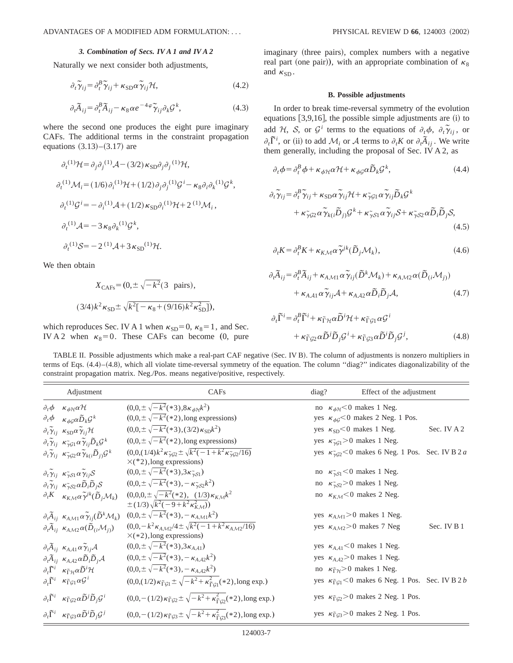#### *3. Combination of Secs. IV A 1 and IV A 2*

Naturally we next consider both adjustments,

$$
\partial_t \widetilde{\gamma}_{ij} = \partial_t^B \widetilde{\gamma}_{ij} + \kappa_{SD} \alpha \widetilde{\gamma}_{ij} \mathcal{H},\tag{4.2}
$$

$$
\partial_t \widetilde{A}_{ij} = \partial_t^B \widetilde{A}_{ij} - \kappa_8 \alpha e^{-4\varphi} \widetilde{\gamma}_{ij} \partial_k \mathcal{G}^k, \tag{4.3}
$$

where the second one produces the eight pure imaginary CAFs. The additional terms in the constraint propagation equations  $(3.13)–(3.17)$  are

$$
\partial_t^{(1)} \mathcal{H} = \partial_j \partial_j^{(1)} \mathcal{A} - (3/2) \kappa_{\text{SD}} \partial_j \partial_j^{(1)} \mathcal{H},
$$
  
\n
$$
\partial_t^{(1)} \mathcal{M}_i = (1/6) \partial_i^{(1)} \mathcal{H} + (1/2) \partial_j \partial_j^{(1)} \mathcal{G}^i - \kappa_8 \partial_i \partial_k^{(1)} \mathcal{G}^k,
$$
  
\n
$$
\partial_t^{(1)} \mathcal{G}^i = -\partial_i^{(1)} \mathcal{A} + (1/2) \kappa_{\text{SD}} \partial_i^{(1)} \mathcal{H} + 2^{(1)} \mathcal{M}_i,
$$
  
\n
$$
\partial_t^{(1)} \mathcal{A} = -3 \kappa_8 \partial_k^{(1)} \mathcal{G}^k,
$$
  
\n
$$
\partial_t^{(1)} \mathcal{S} = -2^{(1)} \mathcal{A} + 3 \kappa_{\text{SD}}^{(1)} \mathcal{H}.
$$

We then obtain

$$
X_{\text{CAFs}} = (0, \pm \sqrt{-k^2} (3 \text{ pairs}),
$$
  

$$
(3/4)k^2 \kappa_{\text{SD}} \pm \sqrt{k^2[-\kappa_8 + (9/16)k^2 \kappa_{\text{SD}}^2]},
$$

which reproduces Sec. IV A 1 when  $\kappa_{SD} = 0$ ,  $\kappa_8 = 1$ , and Sec. IV A 2 when  $\kappa_8=0$ . These CAFs can become (0, pure imaginary (three pairs), complex numbers with a negative real part (one pair)), with an appropriate combination of  $\kappa_8$ and  $\kappa_{SD}$ .

#### **B. Possible adjustments**

In order to break time-reversal symmetry of the evolution equations  $[3,9,16]$ , the possible simple adjustments are  $(i)$  to add *H*, *S*, or  $G^i$  terms to the equations of  $\partial_t \phi$ ,  $\partial_i \tilde{\gamma}_{ij}$ , or  $\partial_t \vec{F}^i$ , or (ii) to add  $\mathcal{M}_i$  or A terms to  $\partial_i K$  or  $\partial_i \vec{A}_{ij}$ . We write them generally, including the proposal of Sec. IV A 2, as

$$
\partial_t \phi = \partial_t^B \phi + \kappa_{\phi H} \alpha \mathcal{H} + \kappa_{\phi G} \alpha \tilde{D}_k \mathcal{G}^k, \tag{4.4}
$$

$$
\partial_t \tilde{\gamma}_{ij} = \partial_t^B \tilde{\gamma}_{ij} + \kappa_{SD} \alpha \tilde{\gamma}_{ij} \mathcal{H} + \kappa_{\tilde{\gamma} \mathcal{G} 1} \alpha \tilde{\gamma}_{ij} \tilde{D}_k \mathcal{G}^k + \kappa_{\tilde{\gamma} \mathcal{G} 2} \alpha \tilde{\gamma}_{k(i} \tilde{D}_j) \mathcal{G}^k + \kappa_{\tilde{\gamma} \mathcal{S} 1} \alpha \tilde{\gamma}_{ij} \mathcal{S} + \kappa_{\tilde{\gamma} \mathcal{S} 2} \alpha \tilde{D}_i \tilde{D}_j \mathcal{S},
$$
\n(4.5)

$$
\partial_t K = \partial_t^B K + \kappa_{K\mathcal{M}} \alpha \widetilde{\gamma}^{jk} (\widetilde{D}_j \mathcal{M}_k), \tag{4.6}
$$

$$
\partial_t \widetilde{A}_{ij} = \partial_t^B \widetilde{A}_{ij} + \kappa_{A \mathcal{M}1} \alpha \widetilde{\gamma}_{ij} (\widetilde{D}^k \mathcal{M}_k) + \kappa_{A \mathcal{M}2} \alpha (\widetilde{D}_{(i} \mathcal{M}_j)) + \kappa_{A \mathcal{A}1} \alpha \widetilde{\gamma}_{ij} \mathcal{A} + \kappa_{A \mathcal{A}2} \alpha \widetilde{D}_i \widetilde{D}_j \mathcal{A},
$$
(4.7)

$$
\partial_t \tilde{\Gamma}^i = \partial_t^B \tilde{\Gamma}^i + \kappa_{\tilde{\Gamma}\mathcal{H}} \alpha \tilde{D}^i \mathcal{H} + \kappa_{\tilde{\Gamma}\mathcal{G}1} \alpha \mathcal{G}^i
$$
  
+  $\kappa_{\tilde{\Gamma}\mathcal{G}2} \alpha \tilde{D}^j \tilde{D}_j \mathcal{G}^i + \kappa_{\tilde{\Gamma}\mathcal{G}3} \alpha \tilde{D}^i \tilde{D}_j \mathcal{G}^j,$  (4.8)

TABLE II. Possible adjustments which make a real-part CAF negative (Sec. IV B). The column of adjustments is nonzero multipliers in terms of Eqs.  $(4.4)$ – $(4.8)$ , which all violate time-reversal symmetry of the equation. The column "diag?" indicates diagonalizability of the constraint propagation matrix. Neg./Pos. means negative/positive, respectively.

| Adjustment                                                                                                            | CAF <sub>s</sub>                                                                                                                | diag? | Effect of the adjustment                                                  |             |
|-----------------------------------------------------------------------------------------------------------------------|---------------------------------------------------------------------------------------------------------------------------------|-------|---------------------------------------------------------------------------|-------------|
| $\partial_t \phi \kappa_{\phi \mathcal{H}} \alpha \mathcal{H}$                                                        | $(0,0,\pm\sqrt{k^2(*3)},8\kappa_{\phi\mathcal{H}}k^2)$                                                                          |       | no $\kappa_{\phi\mathcal{H}}$ < 0 makes 1 Neg.                            |             |
| $\partial_t \phi$<br>$\kappa_{\phi\mathcal{G}}\alpha\widetilde{D}_k\mathcal{G}^k$                                     | $(0,0,\pm\sqrt{k^2(*2)})$ , long expressions)                                                                                   |       | yes $\kappa_{\phi G}$ < 0 makes 2 Neg. 1 Pos.                             |             |
| $\partial_t \tilde{\gamma}_{ij}$ $\kappa_{SD} \alpha \tilde{\gamma}_{ij} \mathcal{H}$                                 | $(0,0,\pm\sqrt{-k^2}(*3),(3/2)\kappa_{SD}k^2)$                                                                                  |       | yes $\kappa_{SD}$ <0 makes 1 Neg.                                         | Sec. IV A 2 |
| $\partial_t \tilde{\gamma}_{ij}$ $\kappa_{\tilde{\gamma}G1} \alpha \tilde{\gamma}_{ij} \tilde{D}_k \mathcal{G}^k$     | $(0,0,\pm\sqrt{-k^2(*2)})$ , long expressions)                                                                                  |       | yes $\kappa_{\gamma g_1} > 0$ makes 1 Neg.                                |             |
| $\partial_t \tilde{\gamma}_{ij}$ $\kappa_{\tilde{\gamma}G2} \alpha \tilde{\gamma}_{k(i} \tilde{D}_{i)} \mathcal{G}^k$ | $(0,0,(1/4)k^2\kappa_{\tilde{\gamma}\tilde{\mathcal{G}}2} \pm \sqrt{k^2(-1+k^2\kappa_{\tilde{\gamma}\tilde{\mathcal{G}}2}/16)}$ |       | yes $\kappa_{\gamma G2}$ < 0 makes 6 Neg. 1 Pos. Sec. IV B 2 a            |             |
|                                                                                                                       | $\times$ (*2), long expressions)                                                                                                |       |                                                                           |             |
| $\partial_t \tilde{\gamma}_{ij}$ $\kappa_{\tilde{\gamma}S1} \alpha \tilde{\gamma}_{ij} \mathcal{S}$                   | $(0,0,\pm\sqrt{-k^2(*3)},3\kappa_{\gamma S_1})$                                                                                 |       | no $\kappa_{\gamma S1}^{\sim}$ < 0 makes 1 Neg.                           |             |
| $\partial_t \tilde{\gamma}_{ij}$ $\kappa_{\gamma S2} \alpha \tilde{D}_i \tilde{D}_j S$                                | $(0,0,\pm\sqrt{-k^2}(*3),-\kappa_{\tilde{\gamma}S2}k^2)$                                                                        |       | no $\kappa_{\gamma S2}$ >0 makes 1 Neg.                                   |             |
| $\partial_t K \kappa_{K\mathcal{M}} \alpha \widetilde{\gamma}^{jk} (\widetilde{D}_j \mathcal{M}_k)$                   | $(0,0,0,\pm\sqrt{-k^2(*2)}, (1/3)\kappa_{K\mathcal{M}}k^2)$                                                                     |       | no $\kappa_{K/M}$ <0 makes 2 Neg.                                         |             |
|                                                                                                                       | $\pm (1/3)\sqrt{k^2(-9+k^2\kappa_{KM}^2)}$                                                                                      |       |                                                                           |             |
| $\partial_t \widetilde{A}_{ij}$ $\kappa_{AM1} \alpha \widetilde{\gamma}_{ij} (\widetilde{D}^k \mathcal{M}_k)$         | $(0,0,\pm\sqrt{-k^2(*3)},-\kappa_{A\mathcal{M}1}k^2)$                                                                           |       | yes $\kappa_{A\mathcal{M}1}$ > 0 makes 1 Neg.                             |             |
| $\partial_t \widetilde{A}_{ij}$ $\kappa_{A\mathcal{M}2} \alpha(\widetilde{D}_{(i}\mathcal{M}_{i)})$                   | $(0,0,-k^2\kappa_{A\mathcal{M}2}/4\pm\sqrt{k^2(-1+k^2\kappa_{A\mathcal{M}2}/16)}$                                               |       | yes $\kappa_{A\mathcal{M}2}$ > 0 makes 7 Neg                              | Sec. IV B 1 |
|                                                                                                                       | $\times$ (*2), long expressions)                                                                                                |       |                                                                           |             |
| $\partial_t \tilde{A}_{ij}$ $\kappa_{A\mathcal{A}1} \alpha \tilde{\gamma}_{ij} \mathcal{A}$                           | $(0,0,\pm\sqrt{-k^2(*3)},3\kappa_{A,A1})$                                                                                       |       | yes $\kappa_{A,A1}$ <0 makes 1 Neg.                                       |             |
| $\partial_i \widetilde{A}_{ij}$ $\kappa_{A\mathcal{A}2} \alpha \widetilde{D}_i \widetilde{D}_j \mathcal{A}$           | $(0,0,\pm\sqrt{-k^2}(*3),-\kappa_{A,A2}k^2)$                                                                                    |       | yes $\kappa_{A,A2}$ >0 makes 1 Neg.                                       |             |
| $\partial_t \widetilde{\Gamma}^i \quad \kappa_{\widetilde{\Gamma} \mathcal{H}} \alpha \widetilde{D}^i \mathcal{H}$    | $(0,0,\pm\sqrt{-k^2(*3)},-\kappa_{A,A2}k^2)$                                                                                    |       | no $\kappa_{\overline{\Gamma}} \gamma > 0$ makes 1 Neg.                   |             |
| $\partial_t \tilde{\Gamma}^i$ $\kappa_{\tilde{\Gamma}\mathcal{G}1} \alpha \mathcal{G}^i$                              | $(0,0,(1/2) \kappa_{\tilde{\Gamma}\mathcal{G}1} \pm \sqrt{-k^2 + \kappa_{\tilde{\Gamma}G1}^2}$ (*2), long exp.)                 |       | yes $\kappa_{\overline{\Gamma}G_1}$ < 0 makes 6 Neg. 1 Pos. Sec. IV B 2 b |             |
| $\partial_t \tilde{\Gamma}^i$ $\kappa_{\tilde{\Gamma}\mathcal{G}2} \alpha \tilde{D}^j \tilde{D}_j \mathcal{G}^i$      | $(0,0,-(1/2)\kappa_{\tilde{\Gamma}G2} \pm \sqrt{-k^2 + \kappa_{\tilde{\Gamma}G2}^2(*)}$ , long exp.)                            |       | yes $\kappa_{\overline{\Gamma}G2}$ > 0 makes 2 Neg. 1 Pos.                |             |
| $\partial_t \tilde{\Gamma}^i$ $\kappa_{\tilde{\Gamma}\mathcal{G}3} \alpha \tilde{D}^i \tilde{D}_j \mathcal{G}^j$      | $(0,0,-(1/2)\kappa_{\tilde{\Gamma}\mathcal{G}3} \pm \sqrt{-k^2 + \kappa_{\tilde{\Gamma}\mathcal{G}3}^2}$ (*2), long exp.)       |       | yes $\kappa_{\overline{\Gamma}\mathcal{G}3}$ > 0 makes 2 Neg. 1 Pos.      |             |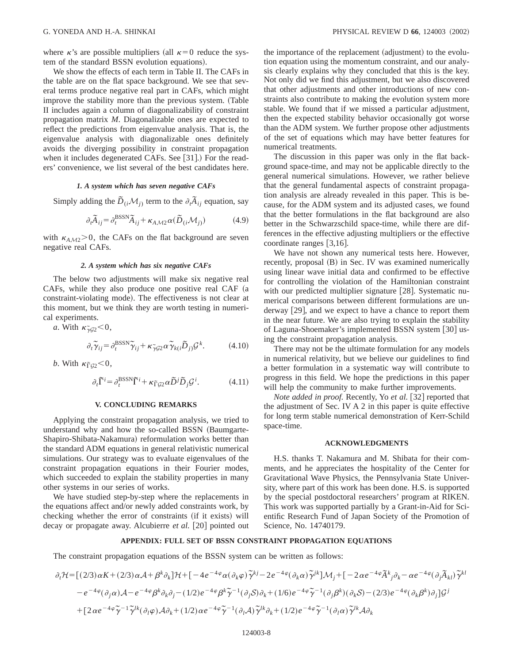where  $\kappa$ 's are possible multipliers (all  $\kappa=0$  reduce the system of the standard BSSN evolution equations).

We show the effects of each term in Table II. The CAFs in the table are on the flat space background. We see that several terms produce negative real part in CAFs, which might improve the stability more than the previous system. (Table II includes again a column of diagonalizability of constraint propagation matrix *M*. Diagonalizable ones are expected to reflect the predictions from eigenvalue analysis. That is, the eigenvalue analysis with diagonalizable ones definitely avoids the diverging possibility in constraint propagation when it includes degenerated CAFs. See  $[31]$ . For the readers' convenience, we list several of the best candidates here.

### *1. A system which has seven negative CAFs*

Simply adding the  $\tilde{D}_{(i)}\mathcal{M}_{j}$  term to the  $\partial_{i}\tilde{A}_{ij}$  equation, say

$$
\partial_t \widetilde{A}_{ij} = \partial_t^{\text{BSSN}} \widetilde{A}_{ij} + \kappa_{A \mathcal{M} 2} \alpha (\widetilde{D}_{(i} \mathcal{M}_{j)}) \tag{4.9}
$$

with  $\kappa_{A\mathcal{M}2}$ >0, the CAFs on the flat background are seven negative real CAFs.

#### *2. A system which has six negative CAFs*

The below two adjustments will make six negative real CAFs, while they also produce one positive real CAF (a constraint-violating mode). The effectiveness is not clear at this moment, but we think they are worth testing in numerical experiments.

*a*. With  $\kappa_{\tilde{\gamma}g_2}$  < 0,

$$
\partial_t \widetilde{\gamma}_{ij} = \partial_t^{\text{BSSN}} \widetilde{\gamma}_{ij} + \kappa_{\widetilde{\gamma} \mathcal{G} 2} \alpha \widetilde{\gamma}_{k(i} \widetilde{D}_{j)} \mathcal{G}^k. \tag{4.10}
$$

*b*. With  $\kappa_{\rm FQ2}^{\rm s} < 0$ ,

$$
\partial_t \widetilde{\Gamma}^i = \partial_t^{\text{BSSN}} \widetilde{\Gamma}^i + \kappa_{\widetilde{\Gamma}\mathcal{G}2} \alpha \widetilde{D}^j \widetilde{D}_j \mathcal{G}^i.
$$
 (4.11)

### **V. CONCLUDING REMARKS**

Applying the constraint propagation analysis, we tried to understand why and how the so-called BSSN (Baumgarte-Shapiro-Shibata-Nakamura) reformulation works better than the standard ADM equations in general relativistic numerical simulations. Our strategy was to evaluate eigenvalues of the constraint propagation equations in their Fourier modes, which succeeded to explain the stability properties in many other systems in our series of works.

We have studied step-by-step where the replacements in the equations affect and/or newly added constraints work, by checking whether the error of constraints (if it exists) will decay or propagate away. Alcubierre *et al.* [20] pointed out the importance of the replacement (adjustment) to the evolution equation using the momentum constraint, and our analysis clearly explains why they concluded that this is the key. Not only did we find this adjustment, but we also discovered that other adjustments and other introductions of new constraints also contribute to making the evolution system more stable. We found that if we missed a particular adjustment, then the expected stability behavior occasionally got worse than the ADM system. We further propose other adjustments of the set of equations which may have better features for numerical treatments.

The discussion in this paper was only in the flat background space-time, and may not be applicable directly to the general numerical simulations. However, we rather believe that the general fundamental aspects of constraint propagation analysis are already revealed in this paper. This is because, for the ADM system and its adjusted cases, we found that the better formulations in the flat background are also better in the Schwarzschild space-time, while there are differences in the effective adjusting multipliers or the effective coordinate ranges  $[3,16]$ .

We have not shown any numerical tests here. However, recently, proposal  $(B)$  in Sec. IV was examined numerically using linear wave initial data and confirmed to be effective for controlling the violation of the Hamiltonian constraint with our predicted multiplier signature  $[28]$ . Systematic numerical comparisons between different formulations are underway  $\left|29\right|$ , and we expect to have a chance to report them in the near future. We are also trying to explain the stability of Laguna-Shoemaker's implemented BSSN system [30] using the constraint propagation analysis.

There may not be the ultimate formulation for any models in numerical relativity, but we believe our guidelines to find a better formulation in a systematic way will contribute to progress in this field. We hope the predictions in this paper will help the community to make further improvements.

*Note added in proof.* Recently, Yo *et al.* [32] reported that the adjustment of Sec. IV A 2 in this paper is quite effective for long term stable numerical demonstration of Kerr-Schild space-time.

#### **ACKNOWLEDGMENTS**

H.S. thanks T. Nakamura and M. Shibata for their comments, and he appreciates the hospitality of the Center for Gravitational Wave Physics, the Pennsylvania State University, where part of this work has been done. H.S. is supported by the special postdoctoral researchers' program at RIKEN. This work was supported partially by a Grant-in-Aid for Scientific Research Fund of Japan Society of the Promotion of Science, No. 14740179.

#### **APPENDIX: FULL SET OF BSSN CONSTRAINT PROPAGATION EQUATIONS**

The constraint propagation equations of the BSSN system can be written as follows:

$$
\partial_t H = [(2/3)\alpha K + (2/3)\alpha A + \beta^k \partial_k]H + [-4e^{-4\varphi}\alpha(\partial_k \varphi)\widetilde{\gamma}^{kj} - 2e^{-4\varphi}(\partial_k \alpha)\widetilde{\gamma}^{jk}]M_j + [-2\alpha e^{-4\varphi}\widetilde{A}^k{}_j\partial_k - \alpha e^{-4\varphi}(\partial_j \widetilde{A}_{kl})\widetilde{\gamma}^{kl} - e^{-4\varphi}(\partial_j \alpha)A - e^{-4\varphi}\beta^k \partial_k \partial_j - (1/2)e^{-4\varphi}\beta^k \widetilde{\gamma}^{-1}(\partial_j S)\partial_k + (1/6)e^{-4\varphi}\widetilde{\gamma}^{-1}(\partial_j \beta^k)(\partial_k S) - (2/3)e^{-4\varphi}(\partial_k \beta^k)\partial_j]G^j
$$
  
+ [2\alpha e^{-4\varphi}\widetilde{\gamma}^{-1}\widetilde{\gamma}^{lk}(\partial\_l \varphi)A\partial\_k + (1/2)\alpha e^{-4\varphi}\widetilde{\gamma}^{-1}(\partial\_l A)\widetilde{\gamma}^{lk}\partial\_k + (1/2)e^{-4\varphi}\widetilde{\gamma}^{-1}(\partial\_l \alpha)\widetilde{\gamma}^{lk}A\partial\_k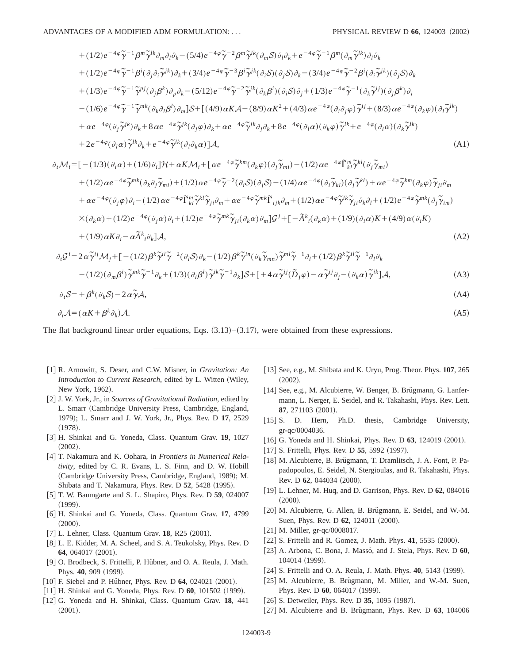+
$$
(1/2)e^{-4\varphi}\tilde{\gamma}^{-1}\beta^{m}\tilde{\gamma}^{lk}\partial_{m}\partial_{l}\partial_{k}-(5/4)e^{-4\varphi}\tilde{\gamma}^{-2}\beta^{m}\tilde{\gamma}^{lk}(\partial_{m}S)\partial_{l}\partial_{k}+e^{-4\varphi}\tilde{\gamma}^{-1}\beta^{m}(\partial_{m}\tilde{\gamma}^{lk})\partial_{l}\partial_{k}
$$
  
+ $(1/2)e^{-4\varphi}\tilde{\gamma}^{-1}\beta^{i}(\partial_{j}\partial_{i}\tilde{\gamma}^{jk})\partial_{k}+(3/4)e^{-4\varphi}\tilde{\gamma}^{-3}\beta^{i}\tilde{\gamma}^{ik}(\partial_{i}S)(\partial_{j}S)\partial_{k}-(3/4)e^{-4\varphi}\tilde{\gamma}^{-2}\beta^{i}(\partial_{i}\tilde{\gamma}^{jk})(\partial_{j}S)\partial_{k}$   
+ $(1/3)e^{-4\varphi}\tilde{\gamma}^{-1}\tilde{\gamma}^{pj}(\partial_{j}\beta^{k})\partial_{p}\partial_{k}-(5/12)e^{-4\varphi}\tilde{\gamma}^{-2}\tilde{\gamma}^{jk}(\partial_{k}\beta^{i})(\partial_{i}S)\partial_{j}+(1/3)e^{-4\varphi}\tilde{\gamma}^{-1}(\partial_{k}\tilde{\gamma}^{ij})(\partial_{j}\beta^{k})\partial_{i}$   
- $(1/6)e^{-4\varphi}\tilde{\gamma}^{-1}\tilde{\gamma}^{mk}(\partial_{k}\partial_{l}\beta^{l})\partial_{m}]S+[(4/9)\alpha K\mathcal{A}-(8/9)\alpha K^{2}+(4/3)\alpha e^{-4\varphi}(\partial_{i}\partial_{j}\varphi)\tilde{\gamma}^{ij}+(8/3)\alpha e^{-4\varphi}(\partial_{k}\varphi)(\partial_{l}\tilde{\gamma}^{lk})$   
+ $\alpha e^{-4\varphi}(\partial_{j}\tilde{\gamma}^{jk})\partial_{k}+8\alpha e^{-4\varphi}\tilde{\gamma}^{jk}(\partial_{j}\varphi)\partial_{k}+\alpha e^{-4\varphi}\tilde{\gamma}^{jk}\partial_{j}\partial_{k}+8e^{-4\varphi}(\partial_{l}\alpha)(\partial_{k}\varphi)\tilde{\gamma}^{jk}+e^{-4\varphi}(\partial_{l}\alpha)(\partial_{k}\tilde{\gamma}^{lk})$   
+ $2e^{-4\varphi}(\partial_{l}\alpha)\tilde{\gamma}^{lk}\partial_{k}+e^{-4\varphi}\tilde{\$ 

$$
\partial_t \mathcal{M}_i = \left[ -(1/3)(\partial_i \alpha) + (1/6)\partial_i \right] \mathcal{H} + \alpha K \mathcal{M}_i + \left[ \alpha e^{-4\varphi} \tilde{\gamma}^{km} (\partial_k \varphi) (\partial_j \tilde{\gamma}_{mi}) - (1/2) \alpha e^{-4\varphi} \tilde{\Gamma}_{kl}^m \tilde{\gamma}^{kl} (\partial_j \tilde{\gamma}_{mi}) \right] \n+ (1/2) \alpha e^{-4\varphi} \tilde{\gamma}^{mk} (\partial_k \partial_j \tilde{\gamma}_{mi}) + (1/2) \alpha e^{-4\varphi} \tilde{\gamma}^{-2} (\partial_i S) (\partial_j S) - (1/4) \alpha e^{-4\varphi} (\partial_i \tilde{\gamma}_{kl}) (\partial_j \tilde{\gamma}^{kl}) + \alpha e^{-4\varphi} \tilde{\gamma}^{km} (\partial_k \varphi) \tilde{\gamma}_{ji} \partial_m \n+ \alpha e^{-4\varphi} (\partial_j \varphi) \partial_i - (1/2) \alpha e^{-4\varphi} \tilde{\Gamma}_{kl}^m \tilde{\gamma}^{kl} \tilde{\gamma}_{ji} \partial_m + \alpha e^{-4\varphi} \tilde{\gamma}^{mk} \tilde{\Gamma}_{ijk} \partial_m + (1/2) \alpha e^{-4\varphi} \tilde{\gamma}^{lk} \tilde{\gamma}_{ji} \partial_k \partial_l + (1/2) e^{-4\varphi} \tilde{\gamma}^{mk} (\partial_j \tilde{\gamma}_{im}) \n\times (\partial_k \alpha) + (1/2) e^{-4\varphi} (\partial_j \alpha) \partial_i + (1/2) e^{-4\varphi} \tilde{\gamma}^{mk} \tilde{\gamma}_{ji} (\partial_k \alpha) \partial_m \right] \mathcal{G}^j + \left[ -\tilde{A}^k{}_i (\partial_k \alpha) + (1/9) (\partial_i \alpha) K + (4/9) \alpha (\partial_i K) \n+ (1/9) \alpha K \partial_i - \alpha \tilde{A}^k{}_i \partial_k \right] \mathcal{A},
$$
\n(A2)  
\n
$$
\partial_i \mathcal{G}^i = 2 \alpha \tilde{\gamma}^{ij} \mathcal{M}_j + \left[ - (1/2) \beta^k \tilde{\gamma}^{il} \tilde{\gamma}^{-2} (\partial_i S) \partial_k - (1/2) \beta^k \tilde{\gamma}^{in} (\partial_k \tilde{\gamma}_{mn}) \tilde{\gamma}^{ml}
$$

$$
\partial_t S = + \beta^k (\partial_k S) - 2 \alpha \tilde{\gamma} A, \tag{A4}
$$

$$
\partial_t \mathcal{A} = (\alpha K + \beta^k \partial_k) \mathcal{A}.\tag{A5}
$$

The flat background linear order equations, Eqs.  $(3.13)$ – $(3.17)$ , were obtained from these expressions.

- [1] R. Arnowitt, S. Deser, and C.W. Misner, in *Gravitation: An Introduction to Current Research*, edited by L. Witten (Wiley, New York, 1962).
- [2] J. W. York, Jr., in *Sources of Gravitational Radiation*, edited by L. Smarr (Cambridge University Press, Cambridge, England, 1979!; L. Smarr and J. W. York, Jr., Phys. Rev. D **17**, 2529  $(1978).$
- [3] H. Shinkai and G. Yoneda, Class. Quantum Grav. 19, 1027  $(2002).$
- [4] T. Nakamura and K. Oohara, in *Frontiers in Numerical Relativity*, edited by C. R. Evans, L. S. Finn, and D. W. Hobill (Cambridge University Press, Cambridge, England, 1989); M. Shibata and T. Nakamura, Phys. Rev. D **52**, 5428 (1995).
- @5# T. W. Baumgarte and S. L. Shapiro, Phys. Rev. D **59**, 024007  $(1999).$
- [6] H. Shinkai and G. Yoneda, Class. Quantum Grav. 17, 4799  $(2000).$
- [7] L. Lehner, Class. Quantum Grav. **18**, R25 (2001).
- [8] L. E. Kidder, M. A. Scheel, and S. A. Teukolsky, Phys. Rev. D **64**, 064017 (2001).
- [9] O. Brodbeck, S. Frittelli, P. Hübner, and O. A. Reula, J. Math. Phys. 40, 909 (1999).
- [10] F. Siebel and P. Hübner, Phys. Rev. D 64, 024021 (2001).
- [11] H. Shinkai and G. Yoneda, Phys. Rev. D 60, 101502 (1999).
- [12] G. Yoneda and H. Shinkai, Class. Quantum Grav. 18, 441  $(2001).$
- @13# See, e.g., M. Shibata and K. Uryu, Prog. Theor. Phys. **107**, 265  $(2002)$
- [14] See, e.g., M. Alcubierre, W. Benger, B. Brügmann, G. Lanfermann, L. Nerger, E. Seidel, and R. Takahashi, Phys. Rev. Lett. **87**, 271103 (2001).
- [15] S. D. Hern, Ph.D. thesis, Cambridge University, gr-qc/0004036.
- [16] G. Yoneda and H. Shinkai, Phys. Rev. D 63, 124019 (2001).
- [17] S. Frittelli, Phys. Rev. D 55, 5992 (1997).
- [18] M. Alcubierre, B. Brügmann, T. Dramlitsch, J. A. Font, P. Papadopoulos, E. Seidel, N. Stergioulas, and R. Takahashi, Phys. Rev. D 62, 044034 (2000).
- @19# L. Lehner, M. Huq, and D. Garrison, Phys. Rev. D **62**, 084016  $(2000).$
- [20] M. Alcubierre, G. Allen, B. Brügmann, E. Seidel, and W.-M. Suen, Phys. Rev. D 62, 124011 (2000).
- $[21]$  M. Miller, gr-qc/0008017.
- $[22]$  S. Frittelli and R. Gomez, J. Math. Phys.  $41, 5535$   $(2000)$ .
- [23] A. Arbona, C. Bona, J. Masso, and J. Stela, Phys. Rev. D 60, 104014 (1999).
- [24] S. Frittelli and O. A. Reula, J. Math. Phys. 40, 5143 (1999).
- [25] M. Alcubierre, B. Brügmann, M. Miller, and W.-M. Suen, Phys. Rev. D 60, 064017 (1999).
- [26] S. Detweiler, Phys. Rev. D **35**, 1095 (1987).
- [27] M. Alcubierre and B. Brügmann, Phys. Rev. D 63, 104006